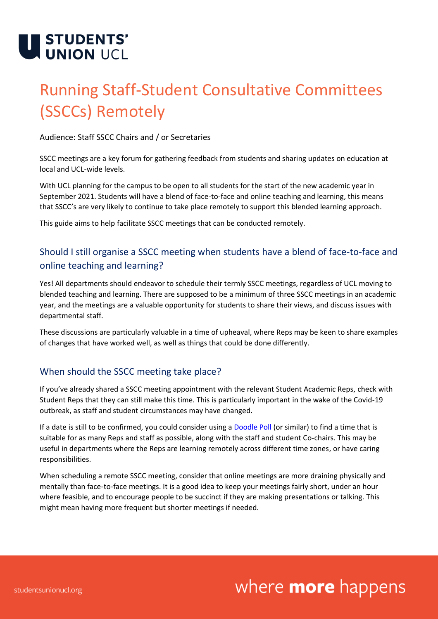

## Running Staff-Student Consultative Committees (SSCCs) Remotely

Audience: Staff SSCC Chairs and / or Secretaries

SSCC meetings are a key forum for gathering feedback from students and sharing updates on education at local and UCL-wide levels.

With UCL planning for the campus to be open to all students for the start of the new academic year in September 2021. Students will have a blend of face-to-face and online teaching and learning, this means that SSCC's are very likely to continue to take place remotely to support this blended learning approach.

This guide aims to help facilitate SSCC meetings that can be conducted remotely.

### Should I still organise a SSCC meeting when students have a blend of face-to-face and online teaching and learning?

Yes! All departments should endeavor to schedule their termly SSCC meetings, regardless of UCL moving to blended teaching and learning. There are supposed to be a minimum of three SSCC meetings in an academic year, and the meetings are a valuable opportunity for students to share their views, and discuss issues with departmental staff.

These discussions are particularly valuable in a time of upheaval, where Reps may be keen to share examples of changes that have worked well, as well as things that could be done differently.

#### When should the SSCC meeting take place?

If you've already shared a SSCC meeting appointment with the relevant Student Academic Reps, check with Student Reps that they can still make this time. This is particularly important in the wake of the Covid-19 outbreak, as staff and student circumstances may have changed.

If a date is still to be confirmed, you could consider using a **Doodle Poll (or similar)** to find a time that is suitable for as many Reps and staff as possible, along with the staff and student Co-chairs. This may be useful in departments where the Reps are learning remotely across different time zones, or have caring responsibilities.

When scheduling a remote SSCC meeting, consider that online meetings are more draining physically and mentally than face-to-face meetings. It is a good idea to keep your meetings fairly short, under an hour where feasible, and to encourage people to be succinct if they are making presentations or talking. This might mean having more frequent but shorter meetings if needed.

## where **more** happens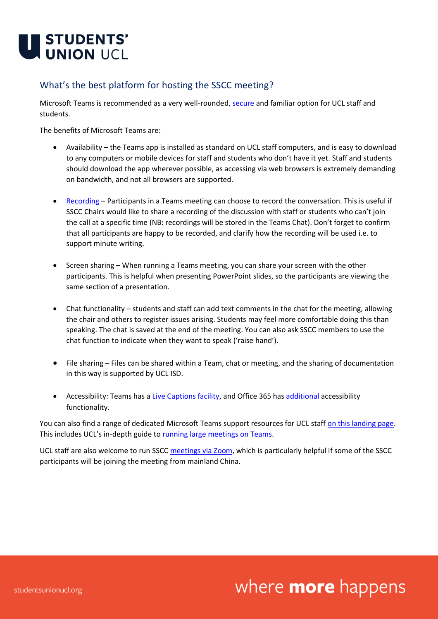

### What's the best platform for hosting the SSCC meeting?

Microsoft Teams is recommended as a very well-rounded[, secure](https://www.ucl.ac.uk/data-protection/covid-19-data-protection-faqs?utm_source=UCL%20%28Internal%20Communications%29&utm_medium=email&utm_campaign=11451182_Covid-19%20All%20Staff%20Email%3A%202%20April&utm_content=UCL%20Data%20Protection%20website) and familiar option for UCL staff and students.

The benefits of Microsoft Teams are:

- Availability the Teams app is installed as standard on UCL staff computers, and is easy to download to any computers or mobile devices for staff and students who don't have it yet. Staff and students should download the app wherever possible, as accessing via web browsers is extremely demanding on bandwidth, and not all browsers are supported.
- [Recording](https://liveuclac.sharepoint.com/sites/SharePointandMicrosoftTeams/SitePages/Recording-in-Microsoft-Teams.aspx) Participants in a Teams meeting can choose to record the conversation. This is useful if SSCC Chairs would like to share a recording of the discussion with staff or students who can't join the call at a specific time (NB: recordings will be stored in the Teams Chat). Don't forget to confirm that all participants are happy to be recorded, and clarify how the recording will be used i.e. to support minute writing.
- Screen sharing When running a Teams meeting, you can share your screen with the other participants. This is helpful when presenting PowerPoint slides, so the participants are viewing the same section of a presentation.
- Chat functionality students and staff can add text comments in the chat for the meeting, allowing the chair and others to register issues arising. Students may feel more comfortable doing this than speaking. The chat is saved at the end of the meeting. You can also ask SSCC members to use the chat function to indicate when they want to speak ('raise hand').
- File sharing Files can be shared within a Team, chat or meeting, and the sharing of documentation in this way is supported by UCL ISD.
- Accessibility: Teams has a [Live Captions facility,](https://liveuclac.sharepoint.com/sites/SharePointandMicrosoftTeams/SitePages/Using-Live-Captions-in-a-Meeting.aspx) and Office 365 has [additional](https://support.office.com/en-gb/article/office-accessibility-center-resources-for-people-with-disabilities-ecab0fcf-d143-4fe8-a2ff-6cd596bddc6d) accessibility functionality.

You can also find a range of dedicated Microsoft Teams support resources for UCL staff [on this landing page.](https://liveuclac.sharepoint.com/sites/SharePointandMicrosoftTeams/) This includes UCL's in-depth guide t[o running large meetings on Teams.](https://liveuclac.sharepoint.com/sites/SharePointandMicrosoftTeams/Shared%20Documents/Forms/AllItems.aspx?id=%2Fsites%2FSharePointandMicrosoftTeams%2FShared%20Documents%2FTeamsLargeMeetings%2FTeams%20%2D%20Large%20Meetings%20Guidance%2Epdf&parent=%2Fsites%2FSharePointandMicrosoftTeams%2FShared%20Documents%2FTeamsLargeMeetings)

UCL staff are also welcome to run SSCC [meetings via Zoom,](https://liveuclac.sharepoint.com/sites/Zoom) which is particularly helpful if some of the SSCC participants will be joining the meeting from mainland China.

## where **more** happens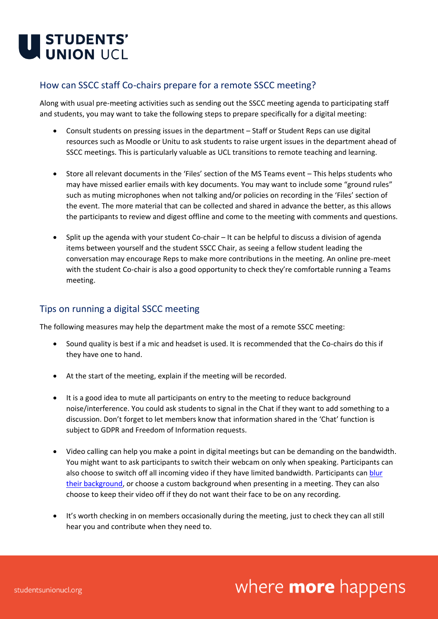

#### How can SSCC staff Co-chairs prepare for a remote SSCC meeting?

Along with usual pre-meeting activities such as sending out the SSCC meeting agenda to participating staff and students, you may want to take the following steps to prepare specifically for a digital meeting:

- Consult students on pressing issues in the department Staff or Student Reps can use digital resources such as Moodle or Unitu to ask students to raise urgent issues in the department ahead of SSCC meetings. This is particularly valuable as UCL transitions to remote teaching and learning.
- Store all relevant documents in the 'Files' section of the MS Teams event This helps students who may have missed earlier emails with key documents. You may want to include some "ground rules" such as muting microphones when not talking and/or policies on recording in the 'Files' section of the event. The more material that can be collected and shared in advance the better, as this allows the participants to review and digest offline and come to the meeting with comments and questions.
- Split up the agenda with your student Co-chair It can be helpful to discuss a division of agenda items between yourself and the student SSCC Chair, as seeing a fellow student leading the conversation may encourage Reps to make more contributions in the meeting. An online pre-meet with the student Co-chair is also a good opportunity to check they're comfortable running a Teams meeting.

#### Tips on running a digital SSCC meeting

The following measures may help the department make the most of a remote SSCC meeting:

- Sound quality is best if a mic and headset is used. It is recommended that the Co-chairs do this if they have one to hand.
- At the start of the meeting, explain if the meeting will be recorded.
- It is a good idea to mute all participants on entry to the meeting to reduce background noise/interference. You could ask students to signal in the Chat if they want to add something to a discussion. Don't forget to let members know that information shared in the 'Chat' function is subject to GDPR and Freedom of Information requests.
- Video calling can help you make a point in digital meetings but can be demanding on the bandwidth. You might want to ask participants to switch their webcam on only when speaking. Participants can also choose to switch off all incoming video if they have limited bandwidth. Participants can [blur](https://liveuclac.sharepoint.com/sites/SharePointandMicrosoftTeams/SitePages/Background-Effects.aspx)  [their background,](https://liveuclac.sharepoint.com/sites/SharePointandMicrosoftTeams/SitePages/Background-Effects.aspx) or choose a custom background when presenting in a meeting. They can also choose to keep their video off if they do not want their face to be on any recording.
- It's worth checking in on members occasionally during the meeting, just to check they can all still hear you and contribute when they need to.

# where **more** happens